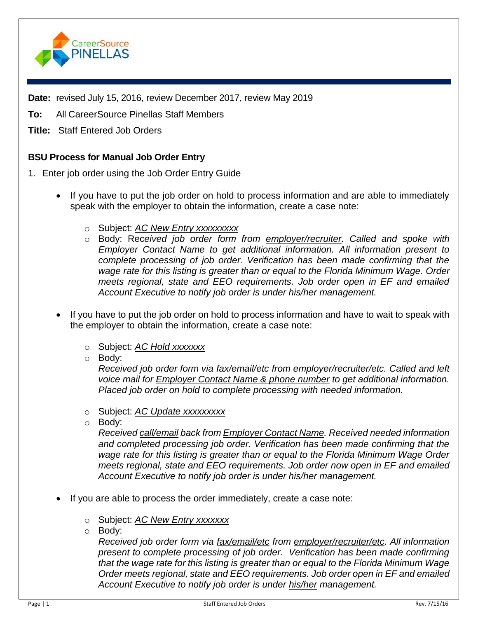

**Date:** revised July 15, 2016, review December 2017, review May 2019

**To:** All CareerSource Pinellas Staff Members

**Title:** Staff Entered Job Orders

## **BSU Process for Manual Job Order Entry**

- 1. Enter job order using the Job Order Entry Guide
	- If you have to put the job order on hold to process information and are able to immediately speak with the employer to obtain the information, create a case note:
		- o Subject: *AC New Entry xxxxxxxxx*
		- o Body: Rec*eived job order form from employer/recruiter. Called and spoke with Employer Contact Name to get additional information. All information present to complete processing of job order. Verification has been made confirming that the wage rate for this listing is greater than or equal to the Florida Minimum Wage. Order meets regional, state and EEO requirements. Job order open in EF and emailed Account Executive to notify job order is under his/her management.*
	- If you have to put the job order on hold to process information and have to wait to speak with the employer to obtain the information, create a case note:
		- o Subject: *AC Hold xxxxxxx*
		- o Body:

*Received job order form via fax/email/etc from employer/recruiter/etc. Called and left voice mail for Employer Contact Name & phone number to get additional information. Placed job order on hold to complete processing with needed information.*

- o Subject: *AC Update xxxxxxxxx*
- o Body:

*Received call/email back from Employer Contact Name. Received needed information and completed processing job order. Verification has been made confirming that the wage rate for this listing is greater than or equal to the Florida Minimum Wage Order meets regional, state and EEO requirements. Job order now open in EF and emailed Account Executive to notify job order is under his/her management.*

- If you are able to process the order immediately, create a case note:
	- o Subject: *AC New Entry xxxxxxx*
	- o Body:

*Received job order form via fax/email/etc from employer/recruiter/etc. All information present to complete processing of job order. Verification has been made confirming that the wage rate for this listing is greater than or equal to the Florida Minimum Wage Order meets regional, state and EEO requirements. Job order open in EF and emailed Account Executive to notify job order is under his/her management.*